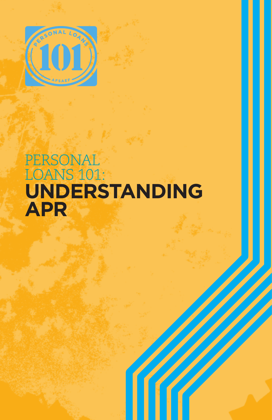

# **PERSONAL** Loans 101: **Understanding APR**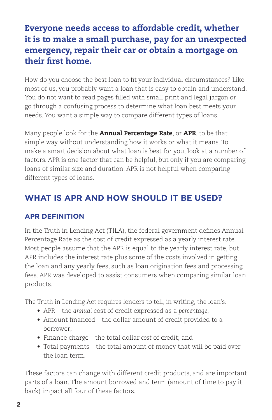## Everyone needs access to affordable credit, whether it is to make a small purchase, pay for an unexpected emergency, repair their car or obtain a mortgage on their first home.

How do you choose the best loan to fit your individual circumstances? Like most of us, you probably want a loan that is easy to obtain and understand. You do not want to read pages filled with small print and legal jargon or go through a confusing process to determine what loan best meets your needs. You want a simple way to compare different types of loans.

Many people look for the Annual Percentage Rate, or APR, to be that simple way without understanding how it works or what it means. To make a smart decision about what loan is best for you, look at a number of factors. APR is one factor that can be helpful, but only if you are comparing loans of similar size and duration. APR is not helpful when comparing different types of loans.

## **What Is APR and How should it Be Used?**

### **APR Definition**

In the Truth in Lending Act (TILA), the federal government defines Annual Percentage Rate as the cost of credit expressed as a yearly interest rate. Most people assume that the APR is equal to the yearly interest rate, but APR includes the interest rate plus some of the costs involved in getting the loan and any yearly fees, such as loan origination fees and processing fees. APR was developed to assist consumers when comparing similar loan products.

The Truth in Lending Act requires lenders to tell, in writing, the loan's:

- APR the *annual* cost of credit expressed as a *percentage*;
- Amount financed the dollar amount of credit provided to a borrower;
- Finance charge the total dollar *cost* of credit; and
- Total payments the total amount of money that will be paid over the loan term.

These factors can change with different credit products, and are important parts of a loan. The amount borrowed and term (amount of time to pay it back) impact all four of these factors.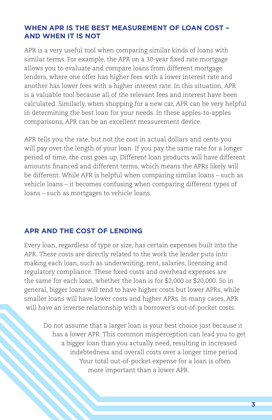#### **When APR Is the Best Measurement of Loan Cost – and when it Is Not**

APR is a very useful tool when comparing similar kinds of loans with similar terms. For example, the APR on a 30-year fixed rate mortgage allows you to evaluate and compare loans from different mortgage lenders, where one offer has higher fees with a lower interest rate and another has lower fees with a higher interest rate. In this situation, APR is a valuable tool because all of the relevant fees and interest have been calculated. Similarly, when shopping for a new car, APR can be very helpful in determining the best loan for your needs. In these apples-to-apples comparisons, APR can be an excellent measurement device.

APR tells you the rate, but not the cost in actual dollars and cents you will pay over the length of your loan. If you pay the same rate for a longer period of time, the cost goes up. Different loan products will have different amounts financed and different terms, which means the APRs likely will be different. While APR is helpful when comparing similar loans – such as vehicle loans – it becomes confusing when comparing different types of loans – such as mortgages to vehicle loans.

#### **APR and the Cost of Lending**

Every loan, regardless of type or size, has certain expenses built into the APR. These costs are directly related to the work the lender puts into making each loan, such as underwriting, rent, salaries, licensing and regulatory compliance. These fixed costs and overhead expenses are the same for each loan, whether the loan is for \$2,000 or \$20,000. So in general, bigger loans will tend to have higher costs but lower APRs, while smaller loans will have lower costs and higher APRs. In many cases, APR will have an inverse relationship with a borrower's out-of-pocket costs.

Do not assume that a larger loan is your best choice just because it has a lower APR. This common misperception can lead you to get a bigger loan than you actually need, resulting in increased indebtedness and overall costs over a longer time period. Your total out-of-pocket expense for a loan is often more important than a lower APR.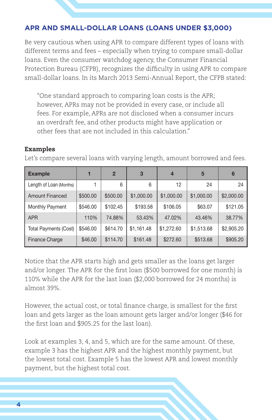#### **APR and Small-Dollar Loans (loans under \$3,000)**

Be very cautious when using APR to compare different types of loans with different terms and fees – especially when trying to compare small-dollar loans. Even the consumer watchdog agency, the Consumer Financial Protection Bureau (CFPB), recognizes the difficulty in using APR to compare small-dollar loans. In its March 2013 Semi-Annual Report, the CFPB stated:

"One standard approach to comparing loan costs is the APR; however, APRs may not be provided in every case, or include all fees. For example, APRs are not disclosed when a consumer incurs an overdraft fee, and other products might have application or other fees that are not included in this calculation."

#### Examples

Let's compare several loans with varying length, amount borrowed and fees.

| <b>Example</b>          |          | $\mathbf{2}$ | 3          | $\overline{4}$ | 5          | 6          |
|-------------------------|----------|--------------|------------|----------------|------------|------------|
| Length of Loan (Months) |          | 6            | 6          | 12             | 24         | 24         |
| <b>Amount Financed</b>  | \$500.00 | \$500.00     | \$1,000.00 | \$1,000.00     | \$1,000.00 | \$2,000.00 |
| Monthly Payment         | \$546.00 | \$102.45     | \$193.58   | \$106.05       | \$63.07    | \$121.05   |
| <b>APR</b>              | 110%     | 74.88%       | 53.43%     | 47.02%         | 43.46%     | 38.77%     |
| Total Payments (Cost)   | \$546.00 | \$614.70     | \$1,161.48 | \$1,272.60     | \$1,513.68 | \$2,905.20 |
| Finance Charge          | \$46.00  | \$114.70     | \$161.48   | \$272.60       | \$513.68   | \$905.20   |

Notice that the APR starts high and gets smaller as the loans get larger and/or longer. The APR for the first loan (\$500 borrowed for one month) is 110% while the APR for the last loan (\$2,000 borrowed for 24 months) is almost 39%.

However, the actual cost, or total finance charge, is smallest for the first loan and gets larger as the loan amount gets larger and/or longer (\$46 for the first loan and \$905.25 for the last loan).

Look at examples 3, 4, and 5, which are for the same amount. Of these, example 3 has the highest APR and the highest monthly payment, but the lowest total cost. Example 5 has the lowest APR and lowest monthly payment, but the highest total cost.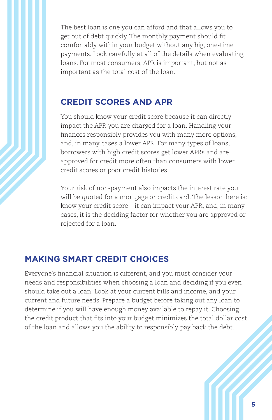The best loan is one you can afford and that allows you to get out of debt quickly. The monthly payment should fit comfortably within your budget without any big, one-time payments. Look carefully at all of the details when evaluating loans. For most consumers, APR is important, but not as important as the total cost of the loan.

### **Credit Scores and APR**

You should know your credit score because it can directly impact the APR you are charged for a loan. Handling your finances responsibly provides you with many more options, and, in many cases a lower APR. For many types of loans, borrowers with high credit scores get lower APRs and are approved for credit more often than consumers with lower credit scores or poor credit histories.

Your risk of non-payment also impacts the interest rate you will be quoted for a mortgage or credit card. The lesson here is: know your credit score – it can impact your APR, and, in many cases, it is the deciding factor for whether you are approved or rejected for a loan.

### **Making Smart Credit Choices**

Everyone's financial situation is different, and you must consider your needs and responsibilities when choosing a loan and deciding if you even should take out a loan. Look at your current bills and income, and your current and future needs. Prepare a budget before taking out any loan to determine if you will have enough money available to repay it. Choosing the credit product that fits into your budget minimizes the total dollar cost of the loan and allows you the ability to responsibly pay back the debt.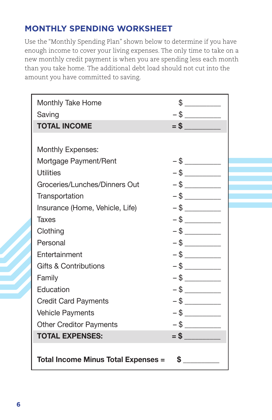## **MONTHLY SPENDING WORKSHEET**

Use the "Monthly Spending Plan" shown below to determine if you have enough income to cover your living expenses. The only time to take on a new monthly credit payment is when you are spending less each month than you take home. The additional debt load should not cut into the amount you have committed to saving.

| Monthly Take Home                         |        |  |  |  |  |
|-------------------------------------------|--------|--|--|--|--|
| Saving                                    |        |  |  |  |  |
| <b>TOTAL INCOME</b>                       |        |  |  |  |  |
|                                           |        |  |  |  |  |
| <b>Monthly Expenses:</b>                  |        |  |  |  |  |
| Mortgage Payment/Rent                     |        |  |  |  |  |
| <b>Utilities</b>                          |        |  |  |  |  |
| Groceries/Lunches/Dinners Out             |        |  |  |  |  |
| Transportation                            |        |  |  |  |  |
| Insurance (Home, Vehicle, Life)           |        |  |  |  |  |
| Taxes                                     |        |  |  |  |  |
| Clothing                                  |        |  |  |  |  |
| Personal                                  |        |  |  |  |  |
| Entertainment                             |        |  |  |  |  |
| <b>Gifts &amp; Contributions</b>          | $-$ \$ |  |  |  |  |
| Family                                    |        |  |  |  |  |
| Education                                 |        |  |  |  |  |
| <b>Credit Card Payments</b>               |        |  |  |  |  |
| <b>Vehicle Payments</b>                   |        |  |  |  |  |
| <b>Other Creditor Payments</b>            |        |  |  |  |  |
| <b>TOTAL EXPENSES:</b>                    | $=$ \$ |  |  |  |  |
|                                           |        |  |  |  |  |
| \$<br>Total Income Minus Total Expenses = |        |  |  |  |  |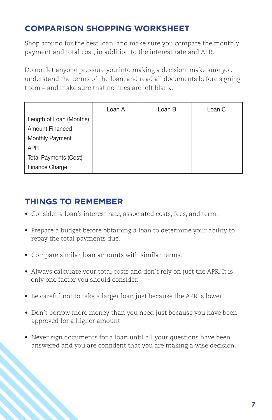## **Comparison Shopping Worksheet**

Shop around for the best loan, and make sure you compare the monthly payment and total cost, in addition to the interest rate and APR.

Do not let anyone pressure you into making a decision, make sure you understand the terms of the loan, and read all documents before signing them – and make sure that no lines are left blank.

|                         | Loan A | Loan B | Loan C |
|-------------------------|--------|--------|--------|
| Length of Loan (Months) |        |        |        |
| Amount Financed         |        |        |        |
| Monthly Payment         |        |        |        |
| APR <sub></sub>         |        |        |        |
| Total Payments (Cost)   |        |        |        |
| Finance Charge          |        |        |        |

## **THINGS TO REMEMBER**

- Consider a loan's interest rate, associated costs, fees, and term.
- Prepare a budget before obtaining a loan to determine your ability to repay the total payments due.
- Compare similar loan amounts with similar terms.
- Always calculate your total costs and don't rely on just the APR. It is only one factor you should consider.
- Be careful not to take a larger loan just because the APR is lower.
- Don't borrow more money than you need just because you have been approved for a higher amount.
- Never sign documents for a loan until all your questions have been answered and you are confident that you are making a wise decision.